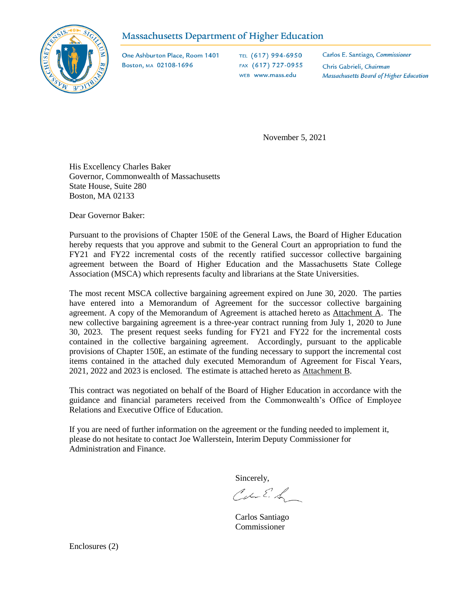## Massachusetts Department of Higher Education



One Ashburton Place, Room 1401 Boston, MA 02108-1696

TEL (617) 994-6950 FAX (617) 727-0955 WEB www.mass.edu

Carlos E. Santiago, Commissioner Chris Gabrieli, Chairman Massachusetts Board of Higher Education

November 5, 2021

His Excellency Charles Baker Governor, Commonwealth of Massachusetts State House, Suite 280 Boston, MA 02133

Dear Governor Baker:

Pursuant to the provisions of Chapter 150E of the General Laws, the Board of Higher Education hereby requests that you approve and submit to the General Court an appropriation to fund the FY21 and FY22 incremental costs of the recently ratified successor collective bargaining agreement between the Board of Higher Education and the Massachusetts State College Association (MSCA) which represents faculty and librarians at the State Universities.

The most recent MSCA collective bargaining agreement expired on June 30, 2020. The parties have entered into a Memorandum of Agreement for the successor collective bargaining agreement. A copy of the Memorandum of Agreement is attached hereto as Attachment A. The new collective bargaining agreement is a three-year contract running from July 1, 2020 to June 30, 2023. The present request seeks funding for FY21 and FY22 for the incremental costs contained in the collective bargaining agreement. Accordingly, pursuant to the applicable provisions of Chapter 150E, an estimate of the funding necessary to support the incremental cost items contained in the attached duly executed Memorandum of Agreement for Fiscal Years, 2021, 2022 and 2023 is enclosed. The estimate is attached hereto as Attachment B.

This contract was negotiated on behalf of the Board of Higher Education in accordance with the guidance and financial parameters received from the Commonwealth's Office of Employee Relations and Executive Office of Education.

If you are need of further information on the agreement or the funding needed to implement it, please do not hesitate to contact Joe Wallerstein, Interim Deputy Commissioner for Administration and Finance.

Sincerely,

Carl E. L

Carlos Santiago Commissioner

Enclosures (2)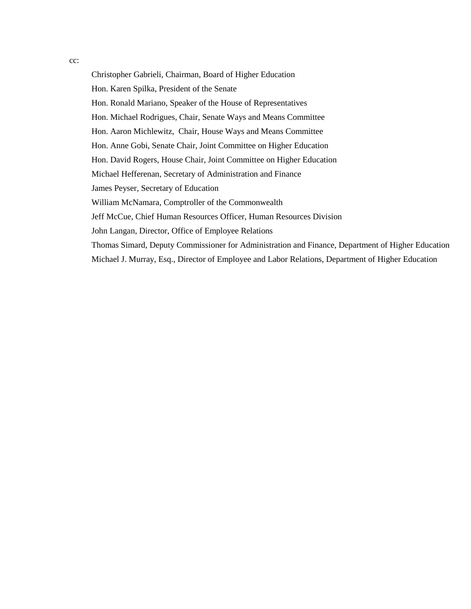cc:

Christopher Gabrieli, Chairman, Board of Higher Education Hon. Karen Spilka, President of the Senate Hon. Ronald Mariano, Speaker of the House of Representatives Hon. Michael Rodrigues, Chair, Senate Ways and Means Committee Hon. Aaron Michlewitz, Chair, House Ways and Means Committee Hon. Anne Gobi, Senate Chair, Joint Committee on Higher Education Hon. David Rogers, House Chair, Joint Committee on Higher Education Michael Hefferenan, Secretary of Administration and Finance James Peyser, Secretary of Education William McNamara, Comptroller of the Commonwealth Jeff McCue, Chief Human Resources Officer, Human Resources Division John Langan, Director, Office of Employee Relations Thomas Simard, Deputy Commissioner for Administration and Finance, Department of Higher Education Michael J. Murray, Esq., Director of Employee and Labor Relations, Department of Higher Education